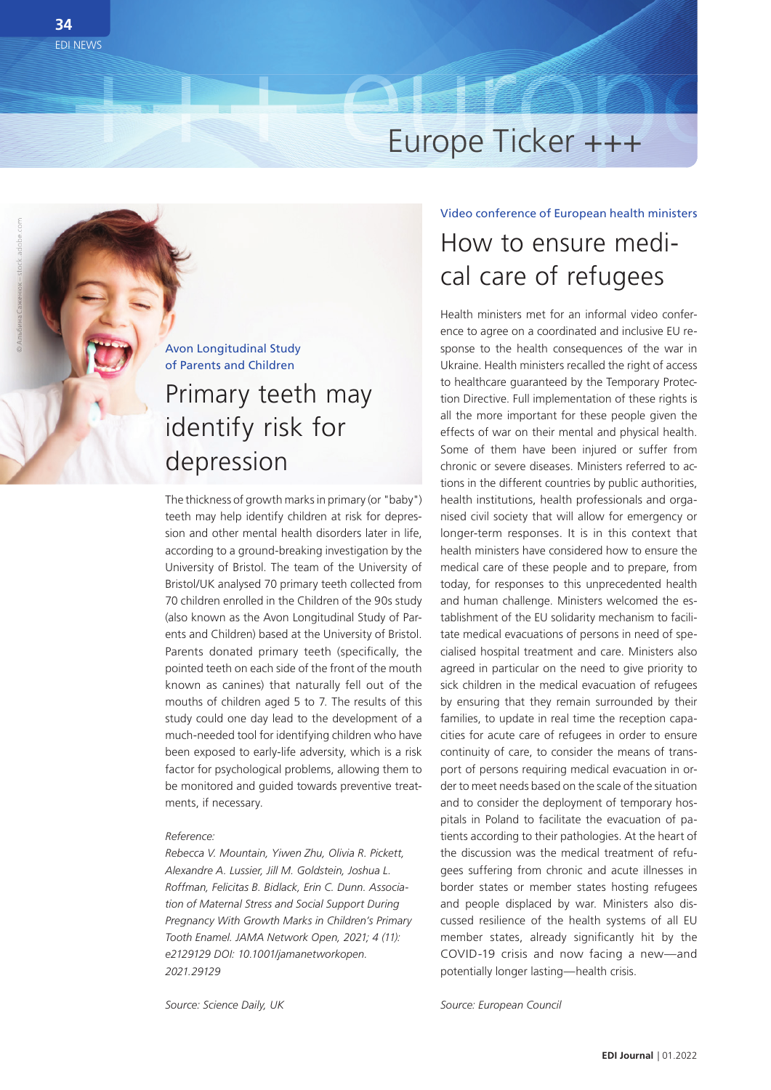

EDI NEWS **34**

> Avon Longitudinal Study of Parents and Children

## Primary teeth may identify risk for depression

The thickness of growth marks in primary (or "baby") teeth may help identify children at risk for depression and other mental health disorders later in life, according to a ground-breaking investigation by the University of Bristol. The team of the University of Bristol/UK analysed 70 primary teeth collected from 70 children enrolled in the Children of the 90s study (also known as the Avon Longitudinal Study of Parents and Children) based at the University of Bristol. Parents donated primary teeth (specifically, the pointed teeth on each side of the front of the mouth known as canines) that naturally fell out of the mouths of children aged 5 to 7. The results of this study could one day lead to the development of a much-needed tool for identifying children who have been exposed to early-life adversity, which is a risk factor for psychological problems, allowing them to be monitored and guided towards preventive treatments, if necessary.

#### *Reference:*

*Rebecca V. Mountain, Yiwen Zhu, Olivia R. Pickett, Alexandre A. Lussier, Jill M. Goldstein, Joshua L. Roffman, Felicitas B. Bidlack, Erin C. Dunn. Association of Maternal Stress and Social Support During Pregnancy With Growth Marks in Children's Primary Tooth Enamel. JAMA Network Open, 2021; 4 (11): e2129129 DOI: 10.1001/jamanetworkopen. 2021.29129*

Video conference of European health ministers

## How to ensure medical care of refugees

Health ministers met for an informal video conference to agree on a coordinated and inclusive EU response to the health consequences of the war in Ukraine. Health ministers recalled the right of access to healthcare guaranteed by the Temporary Protection Directive. Full implementation of these rights is all the more important for these people given the effects of war on their mental and physical health. Some of them have been injured or suffer from chronic or severe diseases. Ministers referred to actions in the different countries by public authorities, health institutions, health professionals and organised civil society that will allow for emergency or longer-term responses. It is in this context that health ministers have considered how to ensure the medical care of these people and to prepare, from today, for responses to this unprecedented health and human challenge. Ministers welcomed the establishment of the EU solidarity mechanism to facilitate medical evacuations of persons in need of specialised hospital treatment and care. Ministers also agreed in particular on the need to give priority to sick children in the medical evacuation of refugees by ensuring that they remain surrounded by their families, to update in real time the reception capacities for acute care of refugees in order to ensure continuity of care, to consider the means of transport of persons requiring medical evacuation in order to meet needs based on the scale of the situation and to consider the deployment of temporary hospitals in Poland to facilitate the evacuation of patients according to their pathologies. At the heart of the discussion was the medical treatment of refugees suffering from chronic and acute illnesses in border states or member states hosting refugees and people displaced by war. Ministers also discussed resilience of the health systems of all EU member states, already significantly hit by the COVID-19 crisis and now facing a new—and potentially longer lasting—health crisis.

*Source: Science Daily, UK*

*Source: European Council*